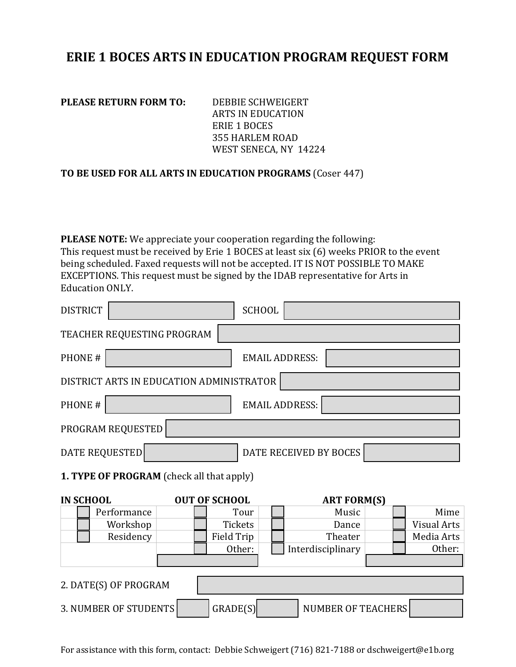## **ERIE 1 BOCES ARTS IN EDUCATION PROGRAM REQUEST FORM**

**PLEASE RETURN FORM TO:** DEBBIE SCHWEIGERT

ARTS IN EDUCATION ERIE 1 BOCES 355 HARLEM ROAD WEST SENECA, NY 14224

## **TO BE USED FOR ALL ARTS IN EDUCATION PROGRAMS** (Coser 447)

**PLEASE NOTE:** We appreciate your cooperation regarding the following: This request must be received by Erie 1 BOCES at least six (6) weeks PRIOR to the event being scheduled. Faxed requests will not be accepted. IT IS NOT POSSIBLE TO MAKE EXCEPTIONS. This request must be signed by the IDAB representative for Arts in Education ONLY.

| <b>DISTRICT</b>                           |                      | <b>SCHOOL</b>          |                    |                    |  |
|-------------------------------------------|----------------------|------------------------|--------------------|--------------------|--|
| TEACHER REQUESTING PROGRAM                |                      |                        |                    |                    |  |
| PHONE#                                    |                      | <b>EMAIL ADDRESS:</b>  |                    |                    |  |
| DISTRICT ARTS IN EDUCATION ADMINISTRATOR  |                      |                        |                    |                    |  |
| PHONE#                                    |                      | <b>EMAIL ADDRESS:</b>  |                    |                    |  |
| PROGRAM REQUESTED                         |                      |                        |                    |                    |  |
| <b>DATE REQUESTED</b>                     |                      | DATE RECEIVED BY BOCES |                    |                    |  |
| 1. TYPE OF PROGRAM (check all that apply) |                      |                        |                    |                    |  |
| <b>IN SCHOOL</b>                          | <b>OUT OF SCHOOL</b> |                        | <b>ART FORM(S)</b> |                    |  |
| Performance                               |                      | Tour                   | Music              | Mime               |  |
| Workshop                                  | Tickets              |                        | Dance              | <b>Visual Arts</b> |  |
| Residency                                 | <b>Field Trip</b>    |                        | Theater            | Media Arts         |  |
|                                           | Other:               |                        | Interdisciplinary  | Other:             |  |
|                                           |                      |                        |                    |                    |  |
|                                           |                      |                        |                    |                    |  |
| 2. DATE(S) OF PROGRAM                     |                      |                        |                    |                    |  |
|                                           |                      |                        |                    |                    |  |

For assistance with this form, contact: Debbie Schweigert (716) 821-7188 or dschweigert@e1b.org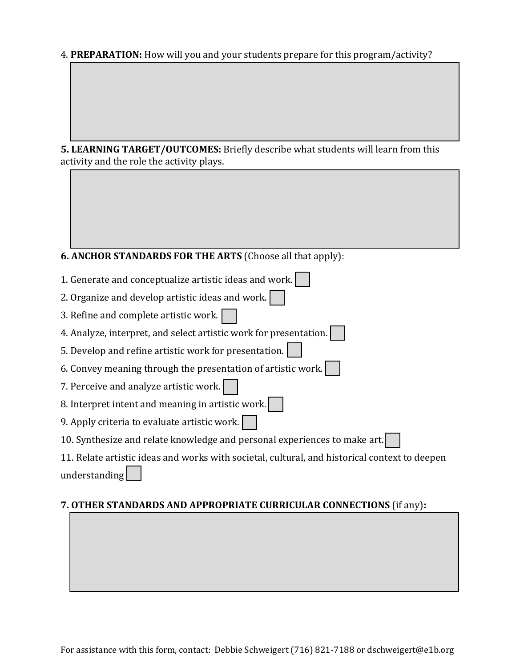4. **PREPARATION:** How will you and your students prepare for this program/activity?

**5. LEARNING TARGET/OUTCOMES:** Briefly describe what students will learn from this activity and the role the activity plays.

## **6. ANCHOR STANDARDS FOR THE ARTS** (Choose all that apply):

| 1. Generate and conceptualize artistic ideas and work.                                        |  |  |
|-----------------------------------------------------------------------------------------------|--|--|
| 2. Organize and develop artistic ideas and work.                                              |  |  |
| 3. Refine and complete artistic work.                                                         |  |  |
| 4. Analyze, interpret, and select artistic work for presentation.                             |  |  |
| 5. Develop and refine artistic work for presentation.                                         |  |  |
| 6. Convey meaning through the presentation of artistic work.                                  |  |  |
| 7. Perceive and analyze artistic work.                                                        |  |  |
| 8. Interpret intent and meaning in artistic work.                                             |  |  |
| 9. Apply criteria to evaluate artistic work.                                                  |  |  |
| 10. Synthesize and relate knowledge and personal experiences to make art.                     |  |  |
| 11. Relate artistic ideas and works with societal, cultural, and historical context to deepen |  |  |
| understanding                                                                                 |  |  |
|                                                                                               |  |  |

## **7. OTHER STANDARDS AND APPROPRIATE CURRICULAR CONNECTIONS** (if any)**:**